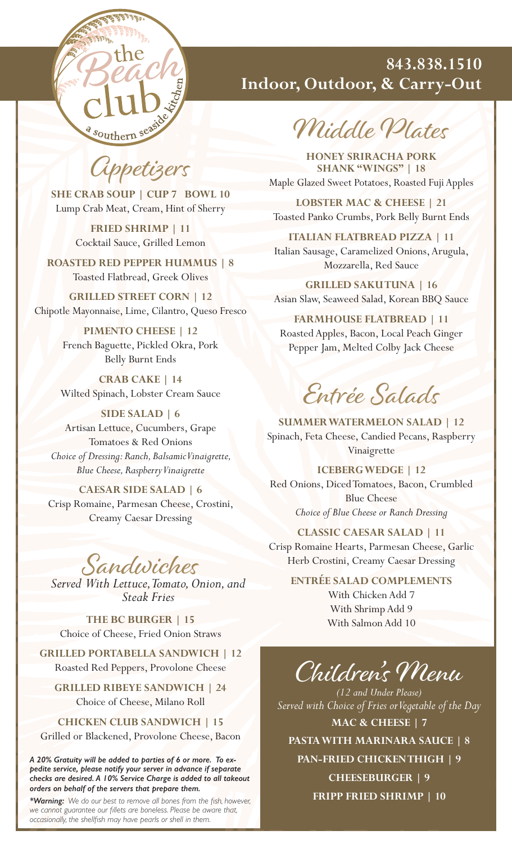

#### **843.838.1510 Indoor, Outdoor, & Carry-Out**

Middle Plates

**HONEY SRIRACHA PORK SHANK "WINGS" | 18** Maple Glazed Sweet Potatoes, Roasted Fuji Apples

**LOBSTER MAC & CHEESE | 21** Toasted Panko Crumbs, Pork Belly Burnt Ends

**ITALIAN FLATBREAD PIZZA | 11**  Italian Sausage, Caramelized Onions, Arugula, Mozzarella, Red Sauce

**GRILLED SAKU TUNA | 16** Asian Slaw, Seaweed Salad, Korean BBQ Sauce

**FARMHOUSE FLATBREAD | 11**  Roasted Apples, Bacon, Local Peach Ginger Pepper Jam, Melted Colby Jack Cheese

### Entrée Salads

**SUMMER WATERMELON SALAD | 12** Spinach, Feta Cheese, Candied Pecans, Raspberry Vinaigrette

**ICEBERG WEDGE | 12** Red Onions, Diced Tomatoes, Bacon, Crumbled Blue Cheese *Choice of Blue Cheese or Ranch Dressing*

**CLASSIC CAESAR SALAD | 11** Crisp Romaine Hearts, Parmesan Cheese, Garlic Herb Crostini, Creamy Caesar Dressing

**ENTRÉE SALAD COMPLEMENTS** With Chicken Add 7 With Shrimp Add 9

With Salmon Add 10

## Children's Menu

*(12 and Under Please) Served with Choice of Fries or Vegetable of the Day* **MAC & CHEESE | 7**

**PASTA WITH MARINARA SAUCE | 8**

**PAN-FRIED CHICKEN THIGH | 9**

**CHEESEBURGER | 9 FRIPP FRIED SHRIMP | 10**

Appetizers

**SHE CRAB SOUP | CUP 7 BOWL 10** Lump Crab Meat, Cream, Hint of Sherry

> **FRIED SHRIMP | 11** Cocktail Sauce, Grilled Lemon

**ROASTED RED PEPPER HUMMUS | 8**  Toasted Flatbread, Greek Olives

**GRILLED STREET CORN | 12** Chipotle Mayonnaise, Lime, Cilantro, Queso Fresco

> **PIMENTO CHEESE | 12** French Baguette, Pickled Okra, Pork Belly Burnt Ends

**CRAB CAKE | 14** Wilted Spinach, Lobster Cream Sauce

**SIDE SALAD | 6** Artisan Lettuce, Cucumbers, Grape Tomatoes & Red Onions *Choice of Dressing: Ranch, Balsamic Vinaigrette, Blue Cheese, Raspberry Vinaigrette*

**CAESAR SIDE SALAD | 6** Crisp Romaine, Parmesan Cheese, Crostini, Creamy Caesar Dressing

Sandwiches

*Served With Lettuce, Tomato, Onion, and Steak Fries*

**THE BC BURGER | 15** Choice of Cheese, Fried Onion Straws

**GRILLED PORTABELLA SANDWICH | 12** Roasted Red Peppers, Provolone Cheese

**GRILLED RIBEYE SANDWICH | 24** Choice of Cheese, Milano Roll

**CHICKEN CLUB SANDWICH | 15**

Grilled or Blackened, Provolone Cheese, Bacon

*A 20% Gratuity will be added to parties of 6 or more. To expedite service, please notify your server in advance if separate checks are desired. A 10% Service Charge is added to all takeout orders on behalf of the servers that prepare them.*

*\*Warning: We do our best to remove all bones from the fish, however, we cannot guarantee our fillets are boneless. Please be aware that, occasionally, the shellfish may have pearls or shell in them.*